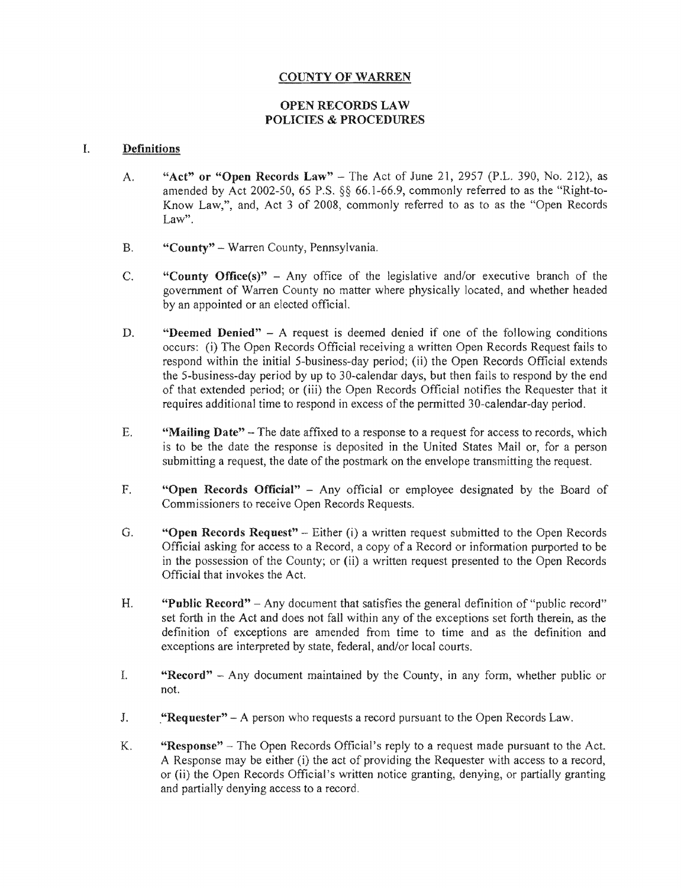# **COUNTY OF WARREN**

# **OPEN RECORDS LAW** POLICIES & PROCEDURES

#### I. **Definitions**

- A. "Act" or "Open Records Law" The Act of June 21, 2957 (P.L. 390, No. 212), as amended by Act 2002-50, 65 P.S.  $\S$  66.1-66.9, commonly referred to as the "Right-to-Know Law,", and, Act 3 of 2008, commonly referred to as to as the "Open Records Law".
- B. "County" Warren County, Pennsylvania.
- C. "County Office(s)" Any office of the legislative and/or executive branch of the government of Warren County no matter where physically located, and whether headed by an appointed or an elected official.
- D. **"Deemed Denied"**  $A$  request is deemed denied if one of the following conditions occurs: (i) The Open Records Official receiving a written Open Records Request fails to respond within the initial 5-business-day period; (ii) the Open Records Official extends the 5-business-day period by up to 30-calendar days, but then fails to respond by the end of that extended period; or (iii) the Open Records Official notifies the Requester that it requires additional time to respond in excess of the permitted 30-calendar-day period.
- E. **"Mailing Date"** The date affixed to a response to a request for access to records, which is to be the date the response is deposited in the United States Mail or, for a person submitting a request, the date of the postmark on the envelope transmitting the request.
- F. **"Open Records Official"** Any official or employee designated by the Board of Commissioners to receive Open Records Requests.
- G. **"Open Records Request"** Either (i) a written request submitted to the Open Records Official asking for access to a Record, a copy of a Record or information purported to be in the possession of the County; or (ii) a written request presented to the Open Records Official that invokes the Act.
- H. **"Public Record"** Any document that satisfies the general definition of "public record" set forth in the Act and does not fall within any of the exceptions set forth therein, as the definition of exceptions are amended from time to time and as the definition and exceptions are interpreted by state, federal, and/or local courts.
- I. "Record" Any document maintained by the County, in any form, whether public or not.
- J. **"Requester"** A person who requests a record pursuant to the Open Records Law.
- **K.** "Response" – The Open Records Official's reply to a request made pursuant to the Act. A Response may be either (i) the act of providing the Requester with access to a record, or (ii) the Open Records Official's written notice granting, denying, or partially granting and partially denying access to a record.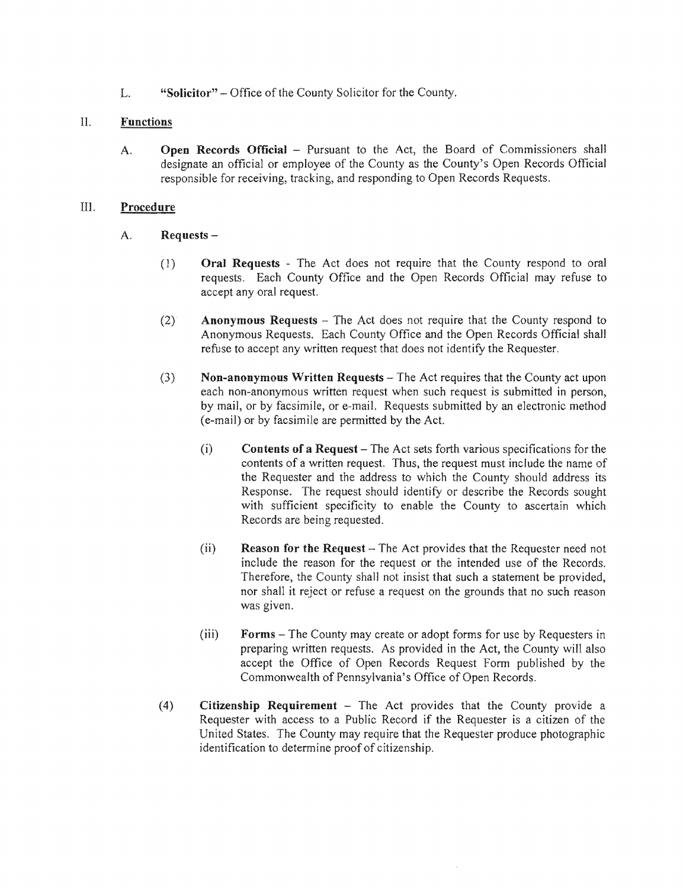L. "Solicitor" – Office of the County Solicitor for the County.

# II. **Functions**

A. Open Records Official – Pursuant to the Act, the Board of Commissioners shall designate an official or employee of the County as the County's Open Records Official responsible for receiving, tracking, and responding to Open Records Requests.

#### III. Procedure

- A. Requests -
	- (1) Oral Requests The Act does not require that the County respond to oral requests. Each County Office and the Open Records Official may refuse to accept any oral request.
	- $(2)$  **Anonymous Requests** The Act does not require that the County respond to Anonymous Requests. Each County Office and the Open Records Official shall refuse to accept any written request that does not identify the Requester.
	- $(3)$ Non-anonymous Written Requests – The Act requires that the County act upon each non-anonymous written request when such request is submitted in person, by mail, or by facsimile, or e-mail. Requests submitted by an electronic method (e-mail) or facsimile are permitted by Act.
		- $(i)$  Contents of a Request The Act sets forth various specifications for the contents of a written request. Thus, the request must include the name of the Requester and the address to which the County should address its Response. The request should identify or describe the Records sought with sufficient specificity to enable the County to ascertain which Records are being
		- $(i)$  **Reason for the Request**  $-$  The Act provides that the Requester need not include the reason for the request or the intended use of the Records. Therefore, the County shall not insist that such a statement be provided. nor shall it reject or refuse a request on the grounds that no such reason was given.
		- $(iii)$  **Forms** The County may create or adopt forms for use by Requesters in preparing written requests. As provided in the Act, the County will also accept the Office of Open Records Request Form published by the Commonwealth of Pennsylvania's of Open Records.
	- (4) Citizenship Requirement  $-$  The Act provides that the County provide a Requester with access to a Public Record if the Requester is a citizen of the United States. The County may require that the Requester produce photographic identification to determine proof of citizenship.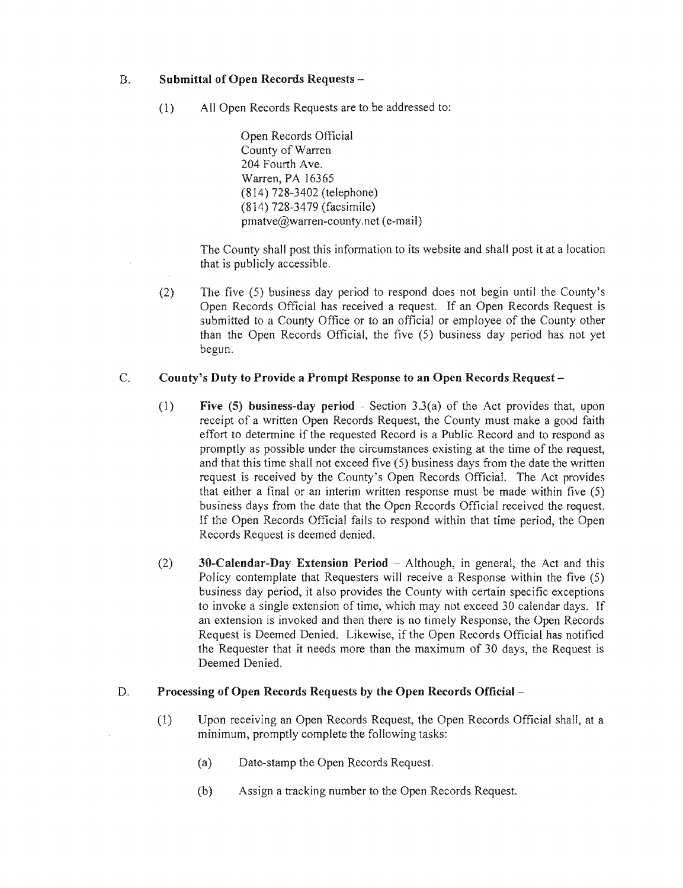# B. Submittal of Open Records Requests -

(1) All Open Records Requests are to be addressed to:

Open Records Official County of Warren 204 Fourth Ave. Warren, PA 16365 (814) 728-3402 (telephone) (814) 728-3479 (facsimile) pmatve@warren-county.net (e-mail)

The County shall post this information to its website and shall post it at a location that is publicly accessible.

(2) The five  $(5)$  business day period to respond does not begin until the County's Open Records Official has received a request. If an Open Records Request is submitted to a County Office or to an official or employee of the County other than the Open Records Official, the five  $(5)$  business day period has not yet begun.

#### $\overline{C}$ . County's Duty to Provide a Prompt Response to an Open Records Request

- (1) Five (5) business-day period Section 3.3(a) of the Act provides that, upon receipt of a written Open Records Request, the County must make a good faith effort to determine if the requested Record is a Public Record and to respond as promptly as possible under the circumstances existing at the time of the request, and that this time shall not exceed five  $(5)$  business days from the date the written request is received by the County's Open Records Official. The Act provides that either a final or an interim written response must be made within five  $(5)$ business days from the date that the Open Records Official received the request. If the Open Records Official fails to respond within that time period, the Open Records Request is deemed denied.
- (2)  $30$ -Calendar-Day Extension Period Although, in general, the Act and this Policy contemplate that Requesters will receive a Response within the five (5) business day period, it also provides the County with certain specific exceptions to invoke a single extension of time, which may not exceed 30 calendar days. If an extension is invoked and then there is no timely Response, the Open Records Request is Deemed Denied. Likewise, if the Open Records Official has notified the Requester that it needs more than the maximum of 30 days, the Request is Deemed Denied.

# D. Processing of Open Records Requests by the Open Records Official –

- (1) Upon receiving an Open Records Request, the Open Records Official shall, at a minimum, promptly complete the following tasks:
	- $(a)$ Date-stamp the Open Records Request.
	- (b) Assign a tracking number to the Open Records Request.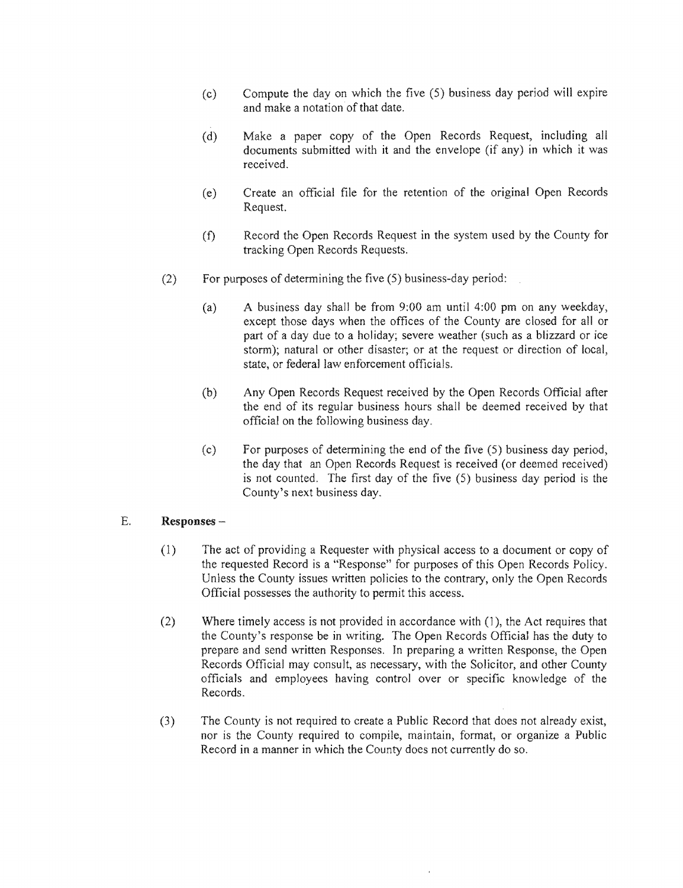- $(c)$  Compute the day on which the five  $(5)$  business day period will expire and make a notation of that date.
- (d) Make a paper copy of the Open Records Request, including all documents submitted with it and the envelope (if any) in which it was received.
- (e) Create an official file for the retention of the original Open Records Request.
- (f) Record the Open Records Request in the system used by the County for tracking Open Records Requests.
- $(2)$ For purposes of determining the five  $(5)$  business-day period:
	- (a) A business day shall be from  $9:00$  am until  $4:00$  pm on any weekday, except those days when the offices of the County are closed for all or part of a day due to a holiday; severe weather (such as a blizzard or ice storm); natural or other disaster; or at the request or direction of local, state, or federal law enforcement officials.
	- (b) Any Open Records Request received by the Open Records Official after the end of its regular business hours shall be deemed received by that official on the following business day.
	- (c) For purposes of determining the end of the five  $(5)$  business day period, the day that an Open Records Request is received (or deemed received) is not counted. The first day of the five  $(5)$  business day period is the County's next business day.

#### E. Responses-

- (1) The act of providing a Requester with physical access to a document or copy of the requested Record is a "Response" for purposes of this Open Records Policy. Unless the County issues written policies to the contrary, only the Open Records Official possesses the authority to permit this access.
- $(2)$  Where timely access is not provided in accordance with  $(1)$ , the Act requires that the County's response be in writing. The Open Records Official has the duty to prepare and send written Responses. In preparing a written Response, the Open Records Official may consult, as necessary, with the Solicitor, and other County officials and employees having control over or specific knowledge of the Records.
- (3) The County is not required to create a Public Record that does not already exist, nor is the County required to compile, maintain, format, or organize a Public Record in a manner in which the County does not currently do so.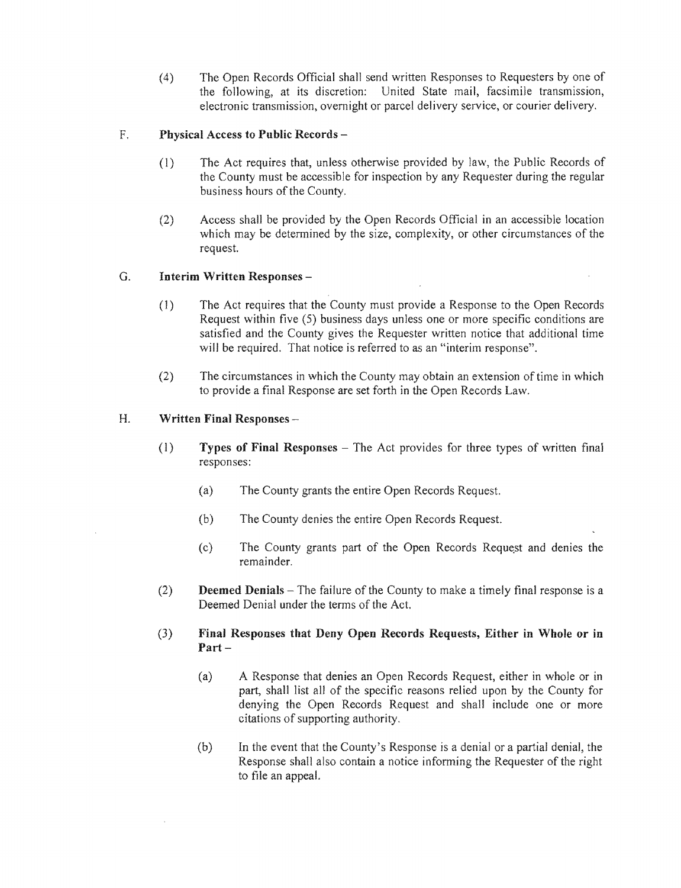(4) The Open Records Official shall send written Responses to Requesters by one of the following, at its discretion: United State mail, facsimile transmission, electronic transmission, overnight or parcel delivery service, or courier delivery.

# F. Physical Access to Public Records -

- (1) The Act requires that, unless otherwise provided by law, the Public Records of must be accessible hours of the County.
- $(2)$  Access shall be provided by the Open Records Official in an accessible location which may be determined by the size, complexity, or other circumstances of the request.

### G. Interim Written Responses

- $(1)$  The Act requires that the County must provide a Response to the Open Records Request within five (5) business days unless one or more specific conditions are satisfied and the County gives the Requester written notice that additional time will be required. That notice is referred to as an "interim response".
- (2) The circumstances in which the County may obtain an extension of time in which to provide a final Response are set forth in the Open Records Law.

# H. Written Final Responses -

- $(1)$  Types of Final Responses The Act provides for three types of written final responses:
	- (a) The County grants the entire Open Records Request.
	- (b) The County denies the entire Open Records Request.
	- (c) The County grants part of the Open Records Request and denies the remainder.
- (2) **Deemed Denials** The failure of the County to make a timely final response is a Deemed Denial under the terms of the Act.
- (3) Final Responses that Deny Open Records Requests, Either in Whole or in  $Part -$ 
	- (a) A Response that denies an Open Records Request, either in whole or in part, shall list all of the specific reasons relied upon by the County for denying the Open Records Request and shall include one or more citations of supporting authority.
	- (b) In the event that the County's Response is a denial or a partial denial, the Response shall also contain a notice informing the Requester of the right to file an appeal.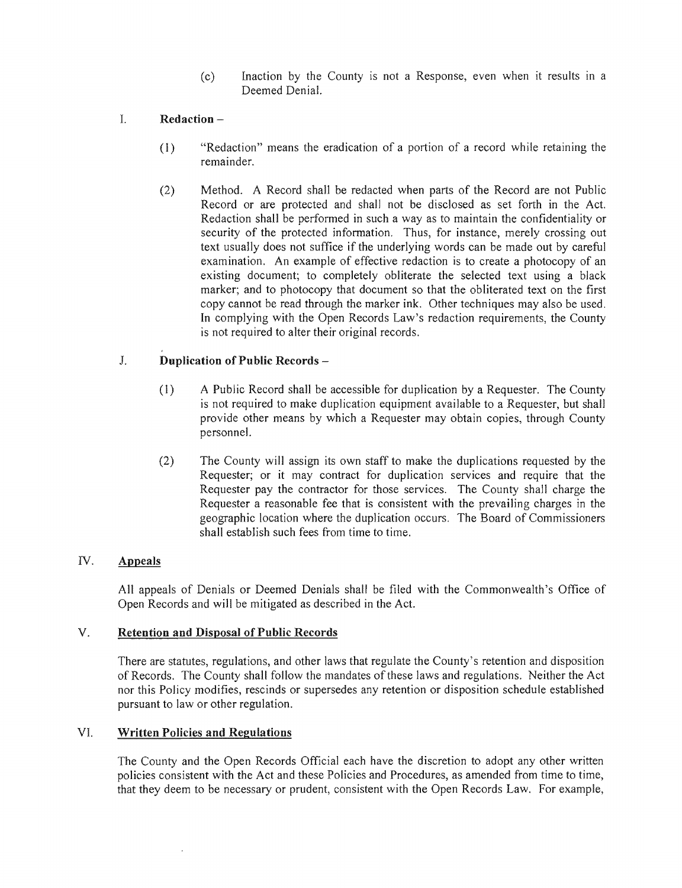(c) Inaction by the County is not a Response, even when it results in a Deemed Denial.

# 1. Redaction –

- (I) "Redaction" means the eradication of a portion of a record while retaining the remainder.
- (2) Method. A Record shall be redacted when parts of the Record are not Public Record or are protected and shall not be disclosed as set forth in the Act. Redaction shall be performed in such a way as to maintain the confidentiality or security of the protected information. Thus, for instance, merely crossing out text usually does not suffice if the underlying words can be made out by careful examination. An example of effective redaction is to create a photocopy of an existing document; to completely obliterate the selected text using a black marker; and to photocopy that document so that the obliterated text on the first copy cannot be read through the marker ink. Other techniques may also be used. In complying with the Open Records Law's redaction requirements, the County is not required to alter their original records.

# J. Duplication of Public Records -

- (I) A Public Record shall be accessible for duplication by a Requester. The County is not required to make duplication equipment available to a Requester, but shall provide other means by which a Requester may obtain copies, through County personnel.
- (2) The County will assign its own staff to make the duplications requested by the Requester; or it may contract for duplication services and require that the Requester pay the contractor for those services. The County shall charge the Requester a reasonable fee that is consistent with the prevailing charges in the geographic location where the duplication occurs. The Board of Commissioners shall establish such fees from time to time.

# *N.*  Appeals

All appeals of Denials or Deemed Denials shall be filed with the Commonwealth's Office of Open Records and will be mitigated as described in the Act.

# V. Retention and Disposal of Public Records

There are statutes, regulations, and other laws that regulate the County's retention and disposition of Records. The County shall follow the mandates of these laws and regulations. Neither the Act nor this Policy modifies, rescinds or supersedes any retention or disposition schedule established pursuant to law or other regulation.

# VI. Written Policies and Regulations

The County and the Open Records Official each have the discretion to adopt any other written policies consistent with the Act and these Policies and Procedures, as amended from time to time, that they deem to be necessary or prudent, consistent with the Open Records Law. For example,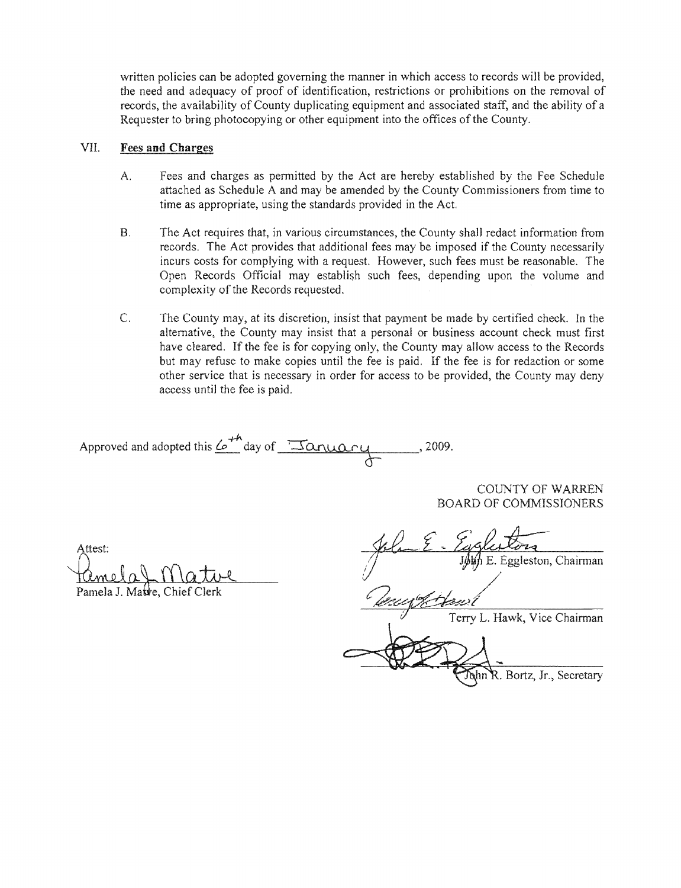written policies can be adopted governing the manner in which access to records will be provided, the need and adequacy of proof of identification, restrictions or prohibitions on the removal of records, the availability of County duplicating equipment and associated staff, and the ability of a Requester to bring photocopying or other equipment into the offices of the County.

#### VII. **Fees and Charges**

- A. Fees and charges as permitted by the Act are attached as Schedule A and may be amended by the County Commissioners from time to time as appropriate, using the standards provided in the Act.
- B. The Act requires that, in various circumstances, the County shall redact information from records. The Act provides that additional fees may be imposed if the County necessarily incurs costs for complying with a request. However, such fees must be reasonable. The Open Records Official may establish such fees, depending upon the volume and complexity of the Records requested.
- $C.$ The County may, at its discretion, insist that payment be made by certified check. In the alternative, the County may insist that a personal or business account check must first have cleared. If the fee is for copying only, the County may allow access to the Records but may refuse to make copies until the fee is paid. If the fee is for redaction or some other service that is necessary in order for access to be provided, the County may deny access until the

Approved and adopted this  $\mathcal{L}^{+n}$  day of  $\frac{1}{\sqrt{2}}$  and  $\mathcal{L}$ 

COUNTY OF WARREN BOARD OF COMMISSIONERS

Attest:

Pamela J. Matre, Chief Clerk

John E. Eggleston, Chairman Terry L. Hawk, Vice Chairman

ohn R. Bortz, Jr., Secretary